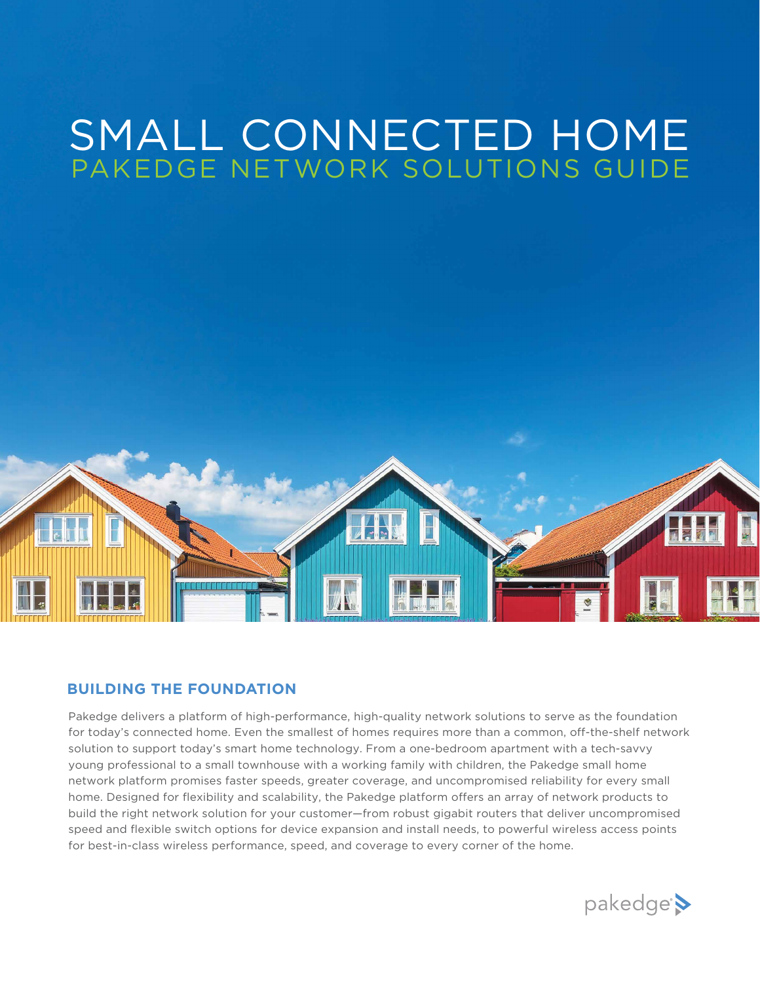# SMALL CONNECTED HOME PAKEDGE NETWORK SOLUTIONS GUIDE



## **BUILDING THE FOUNDATION**

Pakedge delivers a platform of high-performance, high-quality network solutions to serve as the foundation for today's connected home. Even the smallest of homes requires more than a common, off-the-shelf network solution to support today's smart home technology. From a one-bedroom apartment with a tech-savvy young professional to a small townhouse with a working family with children, the Pakedge small home network platform promises faster speeds, greater coverage, and uncompromised reliability for every small home. Designed for flexibility and scalability, the Pakedge platform offers an array of network products to build the right network solution for your customer—from robust gigabit routers that deliver uncompromised speed and flexible switch options for device expansion and install needs, to powerful wireless access points for best-in-class wireless performance, speed, and coverage to every corner of the home.

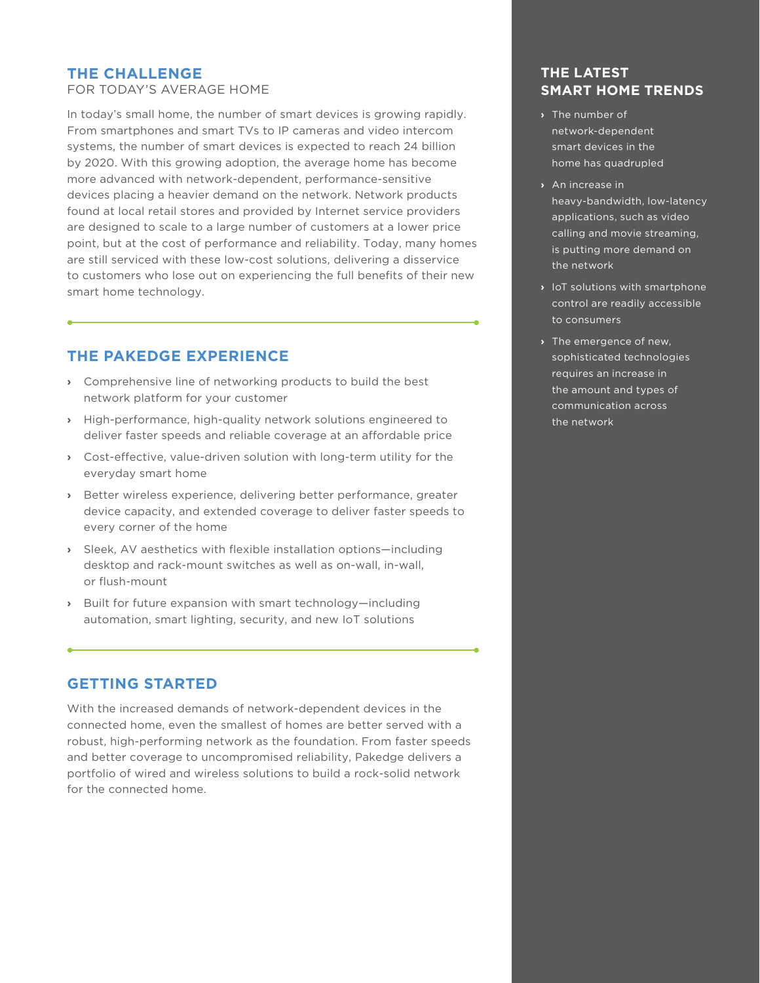## **THE CHALLENGE**

FOR TODAY'S AVERAGE HOME

In today's small home, the number of smart devices is growing rapidly. From smartphones and smart TVs to IP cameras and video intercom systems, the number of smart devices is expected to reach 24 billion by 2020. With this growing adoption, the average home has become more advanced with network-dependent, performance-sensitive devices placing a heavier demand on the network. Network products found at local retail stores and provided by Internet service providers are designed to scale to a large number of customers at a lower price point, but at the cost of performance and reliability. Today, many homes are still serviced with these low-cost solutions, delivering a disservice to customers who lose out on experiencing the full benefits of their new smart home technology.

## **THE PAKEDGE EXPERIENCE**

- **›** Comprehensive line of networking products to build the best network platform for your customer
- **›** High-performance, high-quality network solutions engineered to deliver faster speeds and reliable coverage at an affordable price
- **›** Cost-effective, value-driven solution with long-term utility for the everyday smart home
- **›** Better wireless experience, delivering better performance, greater device capacity, and extended coverage to deliver faster speeds to every corner of the home
- **›** Sleek, AV aesthetics with flexible installation options—including desktop and rack-mount switches as well as on-wall, in-wall, or flush-mount
- **›** Built for future expansion with smart technology—including automation, smart lighting, security, and new IoT solutions

## **GETTING STARTED**

With the increased demands of network-dependent devices in the connected home, even the smallest of homes are better served with a robust, high-performing network as the foundation. From faster speeds and better coverage to uncompromised reliability, Pakedge delivers a portfolio of wired and wireless solutions to build a rock-solid network for the connected home.

## **THE LATEST SMART HOME TRENDS**

- **›** The number of network-dependent smart devices in the home has quadrupled
- **›** An increase in heavy-bandwidth, low-latency applications, such as video calling and movie streaming, is putting more demand on the network
- **›** IoT solutions with smartphone control are readily accessible to consumers
- **›** The emergence of new, sophisticated technologies requires an increase in the amount and types of communication across the network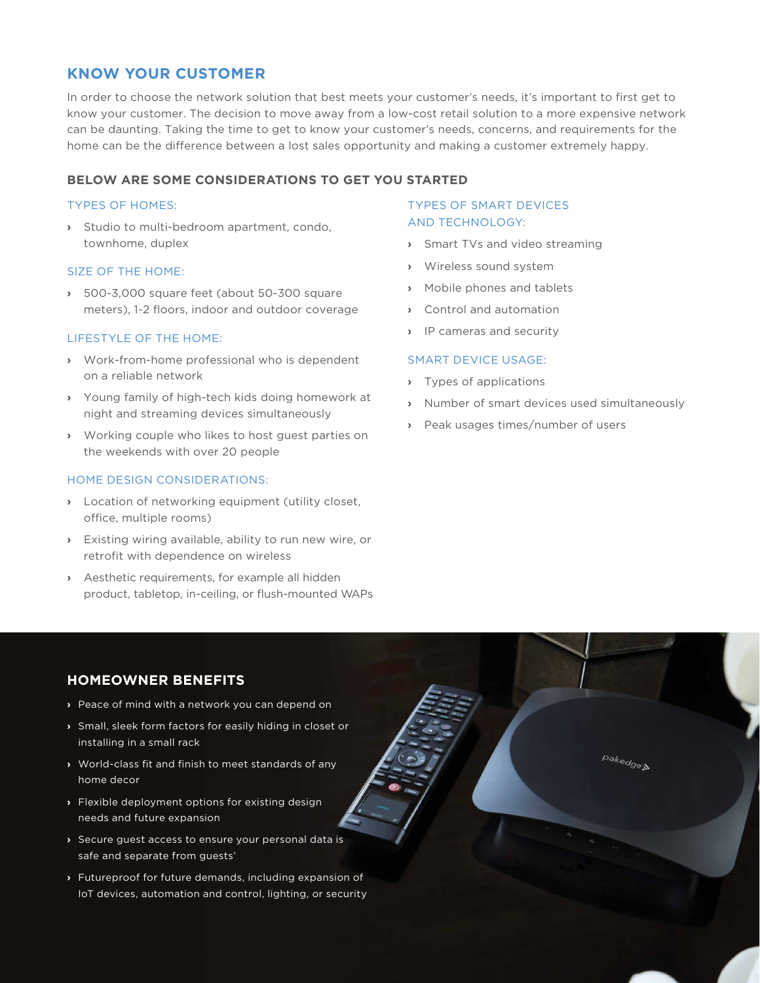## **KNOW YOUR CUSTOMER**

In order to choose the network solution that best meets your customer's needs, it's important to first get to know your customer. The decision to move away from a low-cost retail solution to a more expensive network can be daunting. Taking the time to get to know your customer's needs, concerns, and requirements for the home can be the difference between a lost sales opportunity and making a customer extremely happy.

#### **BELOW ARE SOME CONSIDERATIONS TO GET YOU STARTED**

#### TYPES OF HOMES:

**›** Studio to multi-bedroom apartment, condo, townhome, duplex

#### SIZE OF THE HOME:

**›** 500-3,000 square feet (about 50-300 square meters), 1-2 floors, indoor and outdoor coverage

#### LIFESTYLE OF THE HOME:

- **›** Work-from-home professional who is dependent on a reliable network
- **›** Young family of high-tech kids doing homework at night and streaming devices simultaneously
- **›** Working couple who likes to host guest parties on the weekends with over 20 people

#### HOME DESIGN CONSIDERATIONS:

- **›** Location of networking equipment (utility closet, office, multiple rooms)
- **›** Existing wiring available, ability to run new wire, or retrofit with dependence on wireless
- **›** Aesthetic requirements, for example all hidden product, tabletop, in-ceiling, or flush-mounted WAPs

#### TYPES OF SMART DEVICES AND TECHNOLOGY:

- **›** Smart TVs and video streaming
- **›** Wireless sound system
- **›** Mobile phones and tablets
- **›** Control and automation
- **›** IP cameras and security

#### SMART DEVICE USAGE:

- **›** Types of applications
- **›** Number of smart devices used simultaneously
- **›** Peak usages times/number of users

## **HOMEOWNER BENEFITS**

- **›** Peace of mind with a network you can depend on
- **›** Small, sleek form factors for easily hiding in closet or installing in a small rack
- **›** World-class fit and finish to meet standards of any home decor
- **›** Flexible deployment options for existing design needs and future expansion
- **›** Secure guest access to ensure your personal data is safe and separate from guests'
- **›** Futureproof for future demands, including expansion of IoT devices, automation and control, lighting, or security

pakedge: N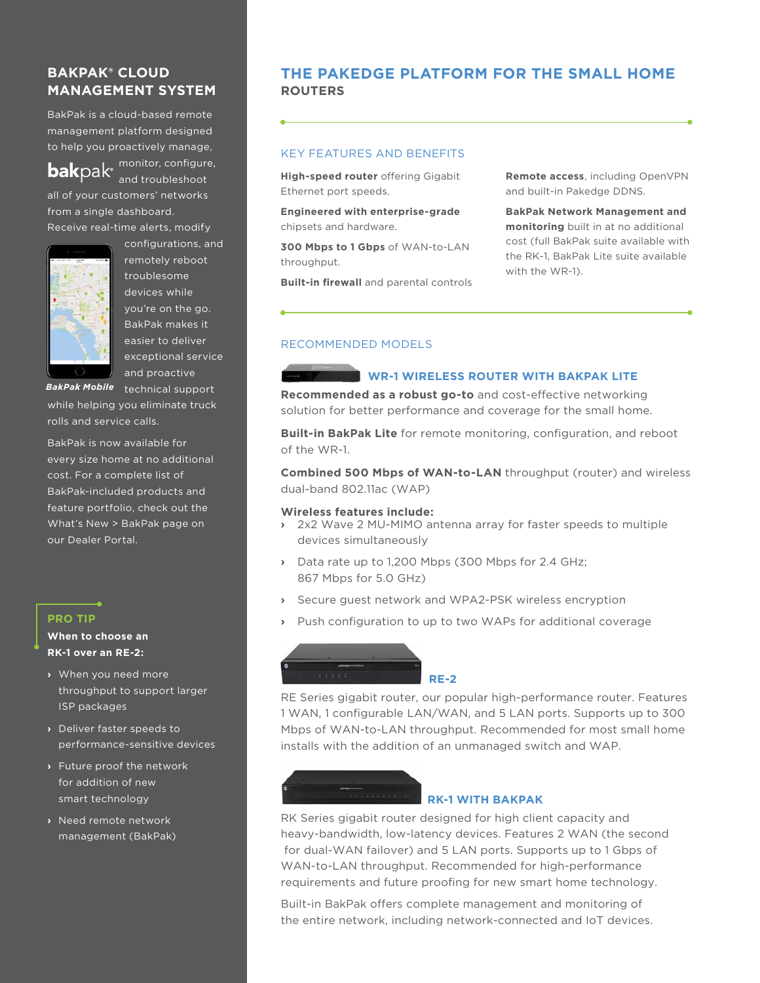## **BAKPAK® CLOUD MANAGEMENT SYSTEM**

BakPak is a cloud-based remote management platform designed to help you proactively manage,

**bak**pak® and troubleshoot all of your customers' networks from a single dashboard. Receive real-time alerts, modify



configurations, and remotely reboot troublesome devices while you're on the go. BakPak makes it easier to deliver exceptional service and proactive

monitor, configure,

*BakPak Mobile* technical support

while helping you eliminate truck rolls and service calls.

BakPak is now available for every size home at no additional cost. For a complete list of BakPak-included products and feature portfolio, check out the What's New > BakPak page on our Dealer Portal.

#### **PRO TIP**

#### **When to choose an RK-1 over an RE-2:**

- **›** When you need more throughput to support larger ISP packages
- **›** Deliver faster speeds to performance-sensitive devices
- **›** Future proof the network for addition of new smart technology
- **›** Need remote network management (BakPak)

## **ROUTERS THE PAKEDGE PLATFORM FOR THE SMALL HOME**

#### KEY FEATURES AND BENEFITS

**High-speed router** offering Gigabit Ethernet port speeds.

**Engineered with enterprise-grade**  chipsets and hardware.

**300 Mbps to 1 Gbps** of WAN-to-LAN throughput.

**Built-in firewall** and parental controls

**Remote access**, including OpenVPN and built-in Pakedge DDNS.

**BakPak Network Management and monitoring** built in at no additional cost (full BakPak suite available with the RK-1, BakPak Lite suite available with the WR-1).

#### RECOMMENDED MODELS

#### **WR-1 WIRELESS ROUTER WITH BAKPAK LITE**

**Recommended as a robust go-to** and cost-effective networking solution for better performance and coverage for the small home.

**Built-in BakPak Lite** for remote monitoring, configuration, and reboot of the WR-1.

**Combined 500 Mbps of WAN-to-LAN** throughput (router) and wireless dual-band 802.11ac (WAP)

#### **Wireless features include:**

- **›** 2x2 Wave 2 MU-MIMO antenna array for faster speeds to multiple devices simultaneously
- **›** Data rate up to 1,200 Mbps (300 Mbps for 2.4 GHz; 867 Mbps for 5.0 GHz)
- **›** Secure guest network and WPA2-PSK wireless encryption
- **›** Push configuration to up to two WAPs for additional coverage



RE Series gigabit router, our popular high-performance router. Features 1 WAN, 1 configurable LAN/WAN, and 5 LAN ports. Supports up to 300 Mbps of WAN-to-LAN throughput. Recommended for most small home installs with the addition of an unmanaged switch and WAP.

# **RK-1 WITH BAKPAK**

RK Series gigabit router designed for high client capacity and heavy-bandwidth, low-latency devices. Features 2 WAN (the second for dual-WAN failover) and 5 LAN ports. Supports up to 1 Gbps of WAN-to-LAN throughput. Recommended for high-performance requirements and future proofing for new smart home technology.

Built-in BakPak offers complete management and monitoring of the entire network, including network-connected and IoT devices.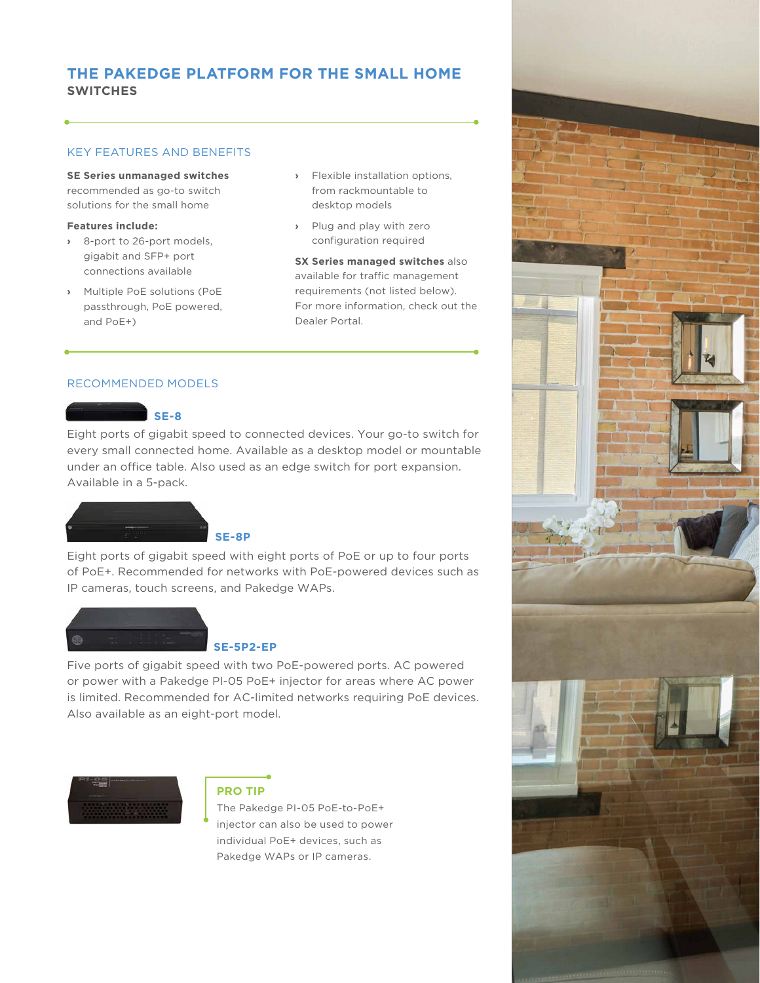## **SWITCHES THE PAKEDGE PLATFORM FOR THE SMALL HOME**

#### KEY FEATURES AND BENEFITS

**SE Series unmanaged switches**  recommended as go-to switch solutions for the small home

#### **Features include:**

- **›** 8-port to 26-port models, gigabit and SFP+ port connections available
- **›** Multiple PoE solutions (PoE passthrough, PoE powered, and PoE+)
- **›** Flexible installation options, from rackmountable to desktop models
- **›** Plug and play with zero configuration required

**SX Series managed switches** also available for traffic management requirements (not listed below). For more information, check out the Dealer Portal.

#### RECOMMENDED MODELS

#### **SE-8**

Eight ports of gigabit speed to connected devices. Your go-to switch for every small connected home. Available as a desktop model or mountable under an office table. Also used as an edge switch for port expansion. Available in a 5-pack.



Eight ports of gigabit speed with eight ports of PoE or up to four ports of PoE+. Recommended for networks with PoE-powered devices such as IP cameras, touch screens, and Pakedge WAPs.



#### **SE-5P2-EP**

Five ports of gigabit speed with two PoE-powered ports. AC powered or power with a Pakedge PI-05 PoE+ injector for areas where AC power is limited. Recommended for AC-limited networks requiring PoE devices. Also available as an eight-port model.



#### **PRO TIP**

The Pakedge PI-05 PoE-to-PoE+ injector can also be used to power individual PoE+ devices, such as Pakedge WAPs or IP cameras.

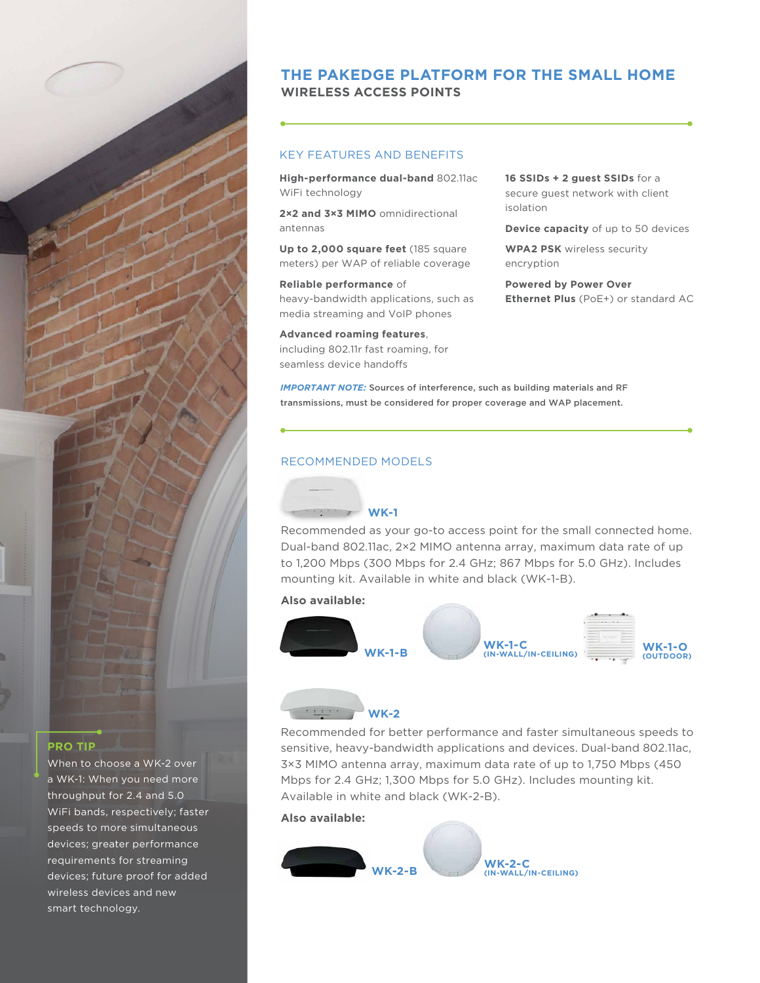

## **WIRELESS ACCESS POINTS THE PAKEDGE PLATFORM FOR THE SMALL HOME**

#### KEY FEATURES AND BENEFITS

**High-performance dual-band** 802.11ac WiFi technology

**2×2 and 3×3 MIMO** omnidirectional antennas

**Up to 2,000 square feet** (185 square meters) per WAP of reliable coverage

#### **Reliable performance** of heavy-bandwidth applications, such as media streaming and VoIP phones

**Advanced roaming features**, including 802.11r fast roaming, for seamless device handoffs

**16 SSIDs + 2 guest SSIDs** for a secure guest network with client isolation

**Device capacity** of up to 50 devices

**WPA2 PSK** wireless security encryption

**Powered by Power Over Ethernet Plus** (PoE+) or standard AC

*IMPORTANT NOTE:* Sources of interference, such as building materials and RF transmissions, must be considered for proper coverage and WAP placement.

#### RECOMMENDED MODELS

#### **WK-1**

Recommended as your go-to access point for the small connected home. Dual-band 802.11ac, 2×2 MIMO antenna array, maximum data rate of up to 1,200 Mbps (300 Mbps for 2.4 GHz; 867 Mbps for 5.0 GHz). Includes mounting kit. Available in white and black (WK-1-B).

#### **Also available:**



## **WK-2**

Recommended for better performance and faster simultaneous speeds to sensitive, heavy-bandwidth applications and devices. Dual-band 802.11ac, 3×3 MIMO antenna array, maximum data rate of up to 1,750 Mbps (450 Mbps for 2.4 GHz; 1,300 Mbps for 5.0 GHz). Includes mounting kit. Available in white and black (WK-2-B).

#### **Also available:**



#### **PRO TIP**

When to choose a WK-2 over a WK-1: When you need more throughput for 2.4 and 5.0 WiFi bands, respectively; faster speeds to more simultaneous devices; greater performance requirements for streaming devices; future proof for added wireless devices and new smart technology.